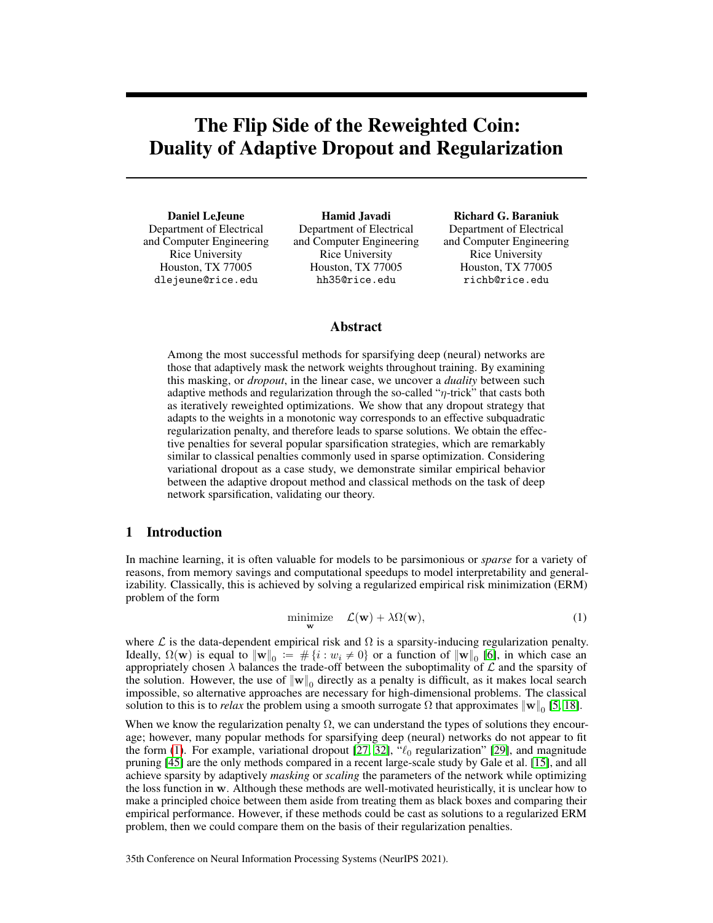# <span id="page-0-1"></span>The Flip Side of the Reweighted Coin: Duality of Adaptive Dropout and Regularization

Daniel LeJeune Department of Electrical and Computer Engineering Rice University Houston, TX 77005 dlejeune@rice.edu

Hamid Javadi Department of Electrical and Computer Engineering Rice University Houston, TX 77005 hh35@rice.edu

Richard G. Baraniuk Department of Electrical and Computer Engineering Rice University Houston, TX 77005 richb@rice.edu

# Abstract

Among the most successful methods for sparsifying deep (neural) networks are those that adaptively mask the network weights throughout training. By examining this masking, or *dropout*, in the linear case, we uncover a *duality* between such adaptive methods and regularization through the so-called " $\eta$ -trick" that casts both as iteratively reweighted optimizations. We show that any dropout strategy that adapts to the weights in a monotonic way corresponds to an effective subquadratic regularization penalty, and therefore leads to sparse solutions. We obtain the effective penalties for several popular sparsification strategies, which are remarkably similar to classical penalties commonly used in sparse optimization. Considering variational dropout as a case study, we demonstrate similar empirical behavior between the adaptive dropout method and classical methods on the task of deep network sparsification, validating our theory.

## 1 Introduction

In machine learning, it is often valuable for models to be parsimonious or *sparse* for a variety of reasons, from memory savings and computational speedups to model interpretability and generalizability. Classically, this is achieved by solving a regularized empirical risk minimization (ERM) problem of the form

<span id="page-0-0"></span>
$$
\underset{\mathbf{w}}{\text{minimize}} \quad \mathcal{L}(\mathbf{w}) + \lambda \Omega(\mathbf{w}), \tag{1}
$$

where  $\mathcal L$  is the data-dependent empirical risk and  $\Omega$  is a sparsity-inducing regularization penalty. Ideally,  $\Omega(\mathbf{w})$  is equal to  $\|\mathbf{w}\|_0 := \#\{i : w_i \neq 0\}$  or a function of  $\|\mathbf{w}\|_0$  [\[6\]](#page-9-0), in which case an appropriately chosen  $\lambda$  balances the trade-off between the suboptimality of  $\mathcal L$  and the sparsity of the solution. However, the use of  $\|\mathbf{w}\|_0$  directly as a penalty is difficult, as it makes local search impossible, so alternative approaches are necessary for high-dimensional problems. The classical solution to this is to *relax* the problem using a smooth surrogate  $\Omega$  that approximates  $\|\mathbf{w}\|_0$  [\[5,](#page-9-1) [18\]](#page-10-0).

When we know the regularization penalty  $\Omega$ , we can understand the types of solutions they encourage; however, many popular methods for sparsifying deep (neural) networks do not appear to fit the form [\(1\)](#page-0-0). For example, variational dropout [\[27,](#page-10-1) [32\]](#page-11-0),  $\mathcal{C}_0$  regularization" [\[29\]](#page-10-2), and magnitude pruning [\[45\]](#page-11-1) are the only methods compared in a recent large-scale study by Gale et al. [\[15\]](#page-10-3), and all achieve sparsity by adaptively *masking* or *scaling* the parameters of the network while optimizing the loss function in w. Although these methods are well-motivated heuristically, it is unclear how to make a principled choice between them aside from treating them as black boxes and comparing their empirical performance. However, if these methods could be cast as solutions to a regularized ERM problem, then we could compare them on the basis of their regularization penalties.

35th Conference on Neural Information Processing Systems (NeurIPS 2021).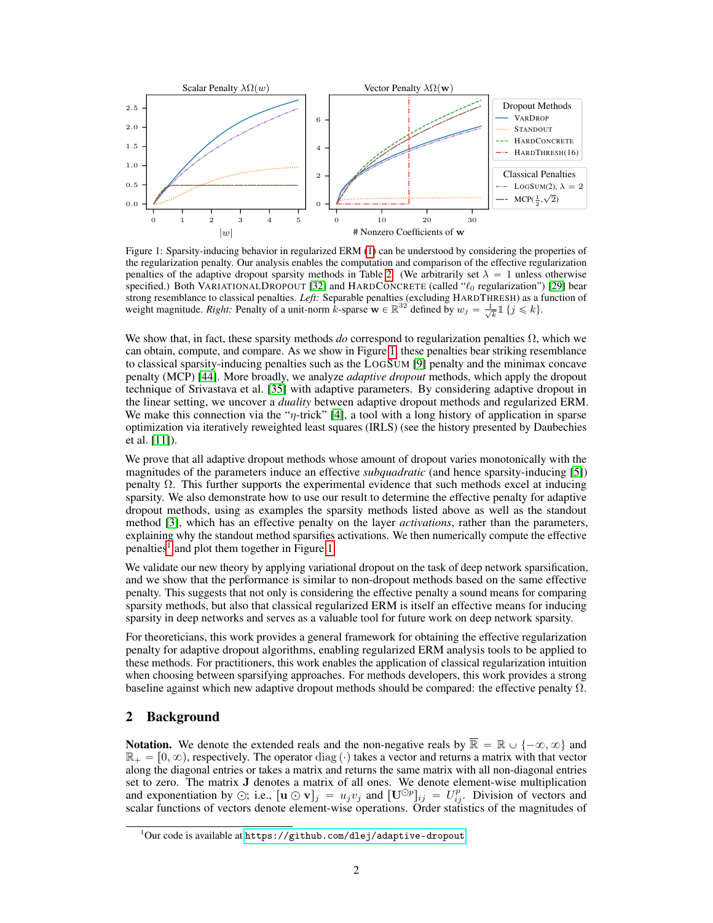<span id="page-1-0"></span>

Figure 1: Sparsity-inducing behavior in regularized ERM [\(1\)](#page-0-0) can be understood by considering the properties of the regularization penalty. Our analysis enables the computation and comparison of the effective regularization penalties of the adaptive dropout sparsity methods in Table [2.](#page-5-0) (We arbitrarily set  $\lambda = 1$  unless otherwise specified.) Both VARIATIONALDROPOUT [\[32\]](#page-11-0) and HARDCONCRETE (called  $\mathcal{C}_0$  regularization") [\[29\]](#page-10-2) bear strong resemblance to classical penalties. *Left:* Separable penalties (excluding HARDTHRESH) as a function of weight magnitude. *Right:* Penalty of a unit-norm  $\hat{k}$ -sparse  $\mathbf{w} \in \mathbb{R}^{32}$  defined by  $w_j = \frac{1}{\sqrt{k}} \mathbb{1} \{j \leq k\}$ .

We show that, in fact, these sparsity methods  $do$  correspond to regularization penalties  $\Omega$ , which we can obtain, compute, and compare. As we show in Figure [1,](#page-1-0) these penalties bear striking resemblance to classical sparsity-inducing penalties such as the LOGSUM [\[9\]](#page-9-2) penalty and the minimax concave penalty (MCP) [\[44\]](#page-11-2). More broadly, we analyze *adaptive dropout* methods, which apply the dropout technique of Srivastava et al. [\[35\]](#page-11-3) with adaptive parameters. By considering adaptive dropout in the linear setting, we uncover a *duality* between adaptive dropout methods and regularized ERM. We make this connection via the " $\eta$ -trick" [\[4\]](#page-9-3), a tool with a long history of application in sparse optimization via iteratively reweighted least squares (IRLS) (see the history presented by Daubechies et al. [\[11\]](#page-9-4)).

We prove that all adaptive dropout methods whose amount of dropout varies monotonically with the magnitudes of the parameters induce an effective *subquadratic* (and hence sparsity-inducing [\[5\]](#page-9-1)) penalty Ω. This further supports the experimental evidence that such methods excel at inducing sparsity. We also demonstrate how to use our result to determine the effective penalty for adaptive dropout methods, using as examples the sparsity methods listed above as well as the standout method [\[3\]](#page-9-5), which has an effective penalty on the layer *activations*, rather than the parameters, explaining why the standout method sparsifies activations. We then numerically compute the effective penalties<sup> $\int$ </sup> and plot them together in Figure [1](#page-0-1).

We validate our new theory by applying variational dropout on the task of deep network sparsification, and we show that the performance is similar to non-dropout methods based on the same effective penalty. This suggests that not only is considering the effective penalty a sound means for comparing sparsity methods, but also that classical regularized ERM is itself an effective means for inducing sparsity in deep networks and serves as a valuable tool for future work on deep network sparsity.

For theoreticians, this work provides a general framework for obtaining the effective regularization penalty for adaptive dropout algorithms, enabling regularized ERM analysis tools to be applied to these methods. For practitioners, this work enables the application of classical regularization intuition when choosing between sparsifying approaches. For methods developers, this work provides a strong baseline against which new adaptive dropout methods should be compared: the effective penalty  $\Omega$ .

## 2 Background

**Notation.** We denote the extended reals and the non-negative reals by  $\overline{\mathbb{R}} = \mathbb{R} \cup \{-\infty, \infty\}$  and  $\mathbb{R}_+ = [0, \infty)$ , respectively. The operator diag ( $\cdot$ ) takes a vector and returns a matrix with that vector along the diagonal entries or takes a matrix and returns the same matrix with all non-diagonal entries set to zero. The matrix J denotes a matrix of all ones. We denote element-wise multiplication and exponentiation by  $\odot$ ; i.e.,  $[\mathbf{u} \odot \mathbf{v}]_j = u_j v_j$  and  $[\mathbf{U}^{\odot p}]_{ij} = U_{ij}^p$ . Division of vectors and scalar functions of vectors denote element-wise operations. Order statistics of the magnitudes of

 $^1$ Our code is available at <code><https://github.com/dlej/adaptive-dropout>.</code>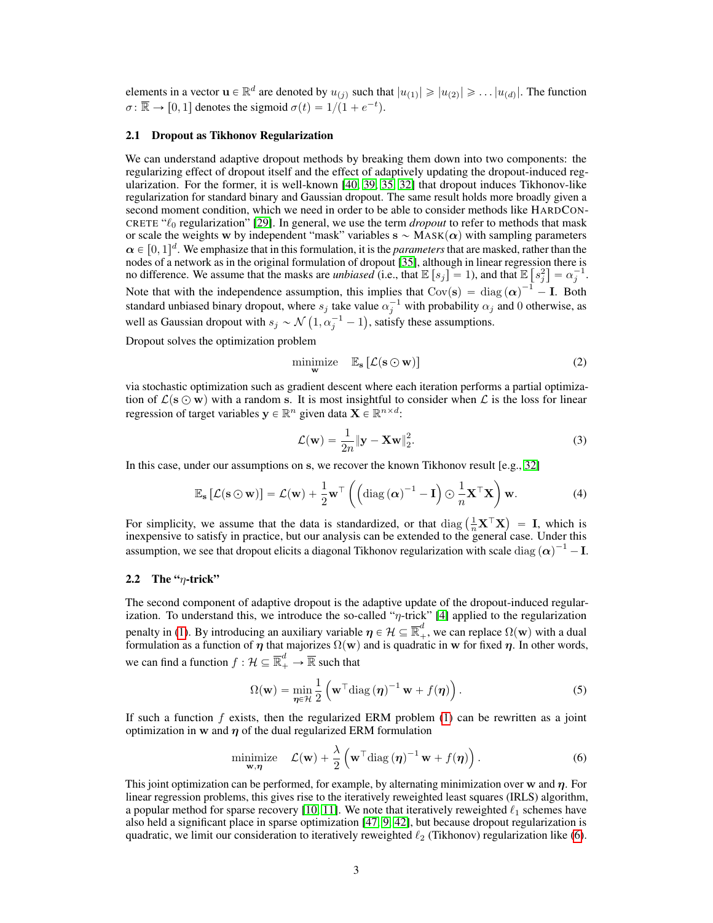elements in a vector  $\mathbf{u} \in \mathbb{R}^d$  are denoted by  $u_{(j)}$  such that  $|u_{(1)}| \geqslant |u_{(2)}| \geqslant \ldots |u_{(d)}|$ . The function  $\sigma \colon \overline{\mathbb{R}} \to [0, 1]$  denotes the sigmoid  $\sigma(t) = 1/(1 + e^{-t})$ .

#### <span id="page-2-5"></span>2.1 Dropout as Tikhonov Regularization

We can understand adaptive dropout methods by breaking them down into two components: the regularizing effect of dropout itself and the effect of adaptively updating the dropout-induced regularization. For the former, it is well-known [\[40,](#page-11-4) [39,](#page-11-5) [35,](#page-11-3) [32\]](#page-11-0) that dropout induces Tikhonov-like regularization for standard binary and Gaussian dropout. The same result holds more broadly given a second moment condition, which we need in order to be able to consider methods like HARDCON-CRETE " $\ell_0$  regularization" [\[29\]](#page-10-2). In general, we use the term *dropout* to refer to methods that mask or scale the weights w by independent "mask" variables  $s \sim \text{MASK}(\alpha)$  with sampling parameters  $\alpha \in [0, 1]^d$ . We emphasize that in this formulation, it is the *parameters* that are masked, rather than the nodes of a network as in the original formulation of dropout [\[35\]](#page-11-3), although in linear regression there is " ‰ no difference. We assume that the masks are *unbiased* (i.e., that  $\mathbb{E}[s_j] = 1$ ), and that  $\mathbb{E}[s_j^2] = \alpha_j^{-1}$ . Note that with the independence assumption, this implies that  $Cov(s) = diag(\alpha)^{-1} - I$ . Both standard unbiased binary dropout, where  $s_j$  take value  $\alpha_j^{-1}$  with probability  $\alpha_j$  and 0 otherwise, as well as Gaussian dropout with  $s_j \sim \mathcal{N}(1, \alpha_j^{-1} - 1)$ , satisfy these assumptions.

Dropout solves the optimization problem

$$
\underset{\mathbf{w}}{\text{minimize}} \quad \mathbb{E}_{\mathbf{s}} \left[ \mathcal{L}(\mathbf{s} \odot \mathbf{w}) \right] \tag{2}
$$

via stochastic optimization such as gradient descent where each iteration performs a partial optimization of  $\mathcal{L}(s \odot w)$  with a random s. It is most insightful to consider when  $\mathcal{L}$  is the loss for linear regression of target variables  $y \in \mathbb{R}^n$  given data  $X \in \mathbb{R}^{n \times d}$ :

<span id="page-2-3"></span><span id="page-2-2"></span>
$$
\mathcal{L}(\mathbf{w}) = \frac{1}{2n} \|\mathbf{y} - \mathbf{X}\mathbf{w}\|_2^2.
$$
 (3)

In this case, under our assumptions on s, we recover the known Tikhonov result [e.g., [32\]](#page-11-0)

$$
\mathbb{E}_{\mathbf{s}}\left[\mathcal{L}(\mathbf{s}\odot\mathbf{w})\right] = \mathcal{L}(\mathbf{w}) + \frac{1}{2}\mathbf{w}^{\top}\left(\left(\mathrm{diag}\left(\boldsymbol{\alpha}\right)^{-1} - \mathbf{I}\right)\odot\frac{1}{n}\mathbf{X}^{\top}\mathbf{X}\right)\mathbf{w}.\tag{4}
$$

For simplicity, we assume that the data is standardized, or that diag  $\left(\frac{1}{n}\mathbf{X}^\top \mathbf{X}\right)$  $=$  I, which is inexpensive to satisfy in practice, but our analysis can be extended to the general case. Under this assumption, we see that dropout elicits a diagonal Tikhonov regularization with scale diag  $(\alpha)^{-1}$  – I.

#### <span id="page-2-4"></span>2.2 The " $\eta$ -trick"

The second component of adaptive dropout is the adaptive update of the dropout-induced regularization. To understand this, we introduce the so-called " $\eta$ -trick" [\[4\]](#page-9-3) applied to the regularization penalty in [\(1\)](#page-0-0). By introducing an auxiliary variable  $\bm{\eta} \in \mathcal{H} \subseteq \overline{\mathbb{R}}_+^d$ , we can replace  $\Omega(\mathbf{w})$  with a dual formulation as a function of  $\eta$  that majorizes  $\Omega(w)$  and is quadratic in w for fixed  $\eta$ . In other words, we can find a function  $f: \mathcal{H} \subseteq \overline{\mathbb{R}}_+^d \to \overline{\mathbb{R}}$  such that

<span id="page-2-1"></span><span id="page-2-0"></span>
$$
\Omega(\mathbf{w}) = \min_{\boldsymbol{\eta} \in \mathcal{H}} \frac{1}{2} \left( \mathbf{w}^\top \text{diag} \left( \boldsymbol{\eta} \right)^{-1} \mathbf{w} + f(\boldsymbol{\eta}) \right). \tag{5}
$$

If such a function  $f$  exists, then the regularized ERM problem  $(1)$  can be rewritten as a joint optimization in w and  $\eta$  of the dual regularized ERM formulation

$$
\underset{\mathbf{w},\boldsymbol{\eta}}{\text{minimize}} \quad \mathcal{L}(\mathbf{w}) + \frac{\lambda}{2} \left( \mathbf{w}^\top \text{diag} \left( \boldsymbol{\eta} \right)^{-1} \mathbf{w} + f(\boldsymbol{\eta}) \right). \tag{6}
$$

This joint optimization can be performed, for example, by alternating minimization over w and  $\eta$ . For linear regression problems, this gives rise to the iteratively reweighted least squares (IRLS) algorithm, a popular method for sparse recovery [\[10,](#page-9-6) [11\]](#page-9-4). We note that iteratively reweighted  $\ell_1$  schemes have also held a significant place in sparse optimization [\[47,](#page-11-6) [9,](#page-9-2) [42\]](#page-11-7), but because dropout regularization is quadratic, we limit our consideration to iteratively reweighted  $\ell_2$  (Tikhonov) regularization like [\(6\)](#page-2-0).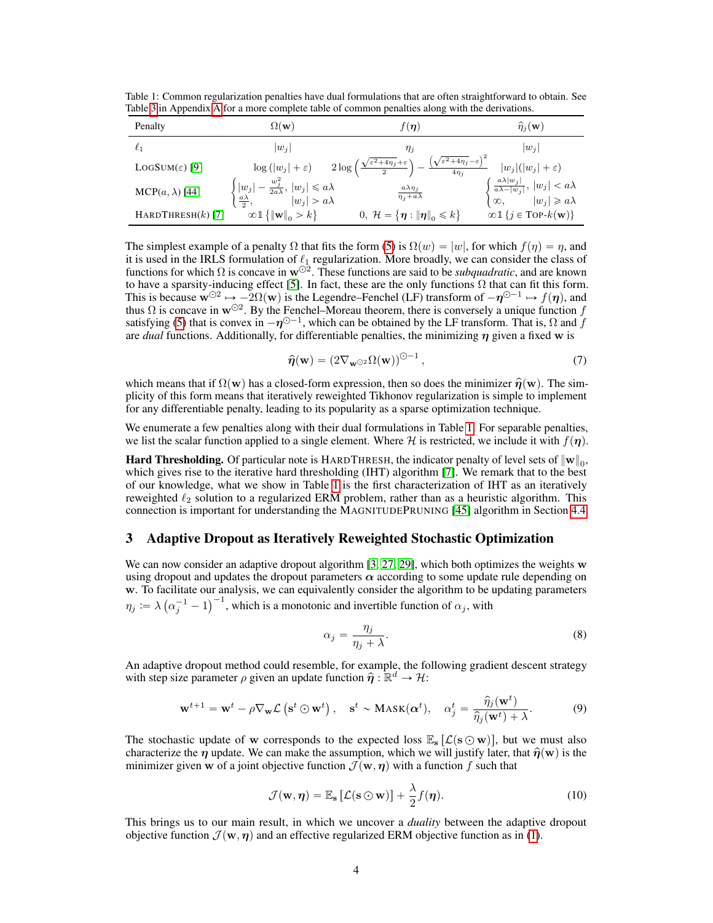<span id="page-3-0"></span>Table 1: Common regularization penalties have dual formulations that are often straightforward to obtain. See Table [3](#page--1-0) in Appendix [A](#page--1-1) for a more complete table of common penalties along with the derivations.

| Penalty                   | $\Omega(\mathbf{w})$                                                                                                  | $f(\eta)$                                                 | $\hat{\eta}_i(\mathbf{w})$                                                                                                    |
|---------------------------|-----------------------------------------------------------------------------------------------------------------------|-----------------------------------------------------------|-------------------------------------------------------------------------------------------------------------------------------|
| $\ell_1$                  | $ w_i $                                                                                                               | $\eta_j$                                                  | $ w_i $                                                                                                                       |
| $LogSum(\varepsilon)$ [9] | $\log\left( w_j  + \varepsilon\right) \quad 2\log\left(\frac{\sqrt{\varepsilon^2 + 4\eta_j} + \varepsilon}{2}\right)$ | $(\sqrt{\varepsilon^2+4\eta_j}-\varepsilon)$<br>$4\eta_i$ | $ w_i ( w_i +\varepsilon)$                                                                                                    |
| $MCP(a, \lambda)$ [44]    | $-\frac{w_j^2}{2a\lambda},  w_j  \leq a\lambda$<br>$ w_j $<br>$ w_j  > a\lambda$<br>$\frac{a\lambda}{2},$             | $\frac{a\lambda\eta_j}{\eta_j+a\lambda}$                  | $\begin{cases} \frac{a\lambda w_j }{a\lambda- w_j },  w_j  < a\lambda \\ \infty, \qquad  w_j  \geqslant a\lambda \end{cases}$ |
| HARDTHRESH $(k)$ [7]      | $\infty \mathbb{1} \{   \mathbf{w}  _0 > k \}$                                                                        | 0, $\mathcal{H} = {\eta :   \eta  }_{0} \le k$            | $\infty$ $\{j \in \text{Top-}k(\mathbf{w})\}$                                                                                 |

The simplest example of a penalty  $\Omega$  that fits the form [\(5\)](#page-2-1) is  $\Omega(w) = |w|$ , for which  $f(\eta) = \eta$ , and it is used in the IRLS formulation of  $\ell_1$  regularization. More broadly, we can consider the class of functions for which  $\Omega$  is concave in  $w^{\odot 2}$ . These functions are said to be *subquadratic*, and are known to have a sparsity-inducing effect [\[5\]](#page-9-1). In fact, these are the only functions  $\Omega$  that can fit this form. This is because  $\mathbf{w}^{\odot 2} \mapsto -2\Omega(\mathbf{w})$  is the Legendre–Fenchel (LF) transform of  $-\eta^{\odot -1} \mapsto f(\eta)$ , and thus  $\Omega$  is concave in  $w^{\odot 2}$ . By the Fenchel–Moreau theorem, there is conversely a unique function f satisfying [\(5\)](#page-2-1) that is convex in  $-\eta^{\odot -1}$ , which can be obtained by the LF transform. That is,  $\Omega$  and  $f$ are *dual* functions. Additionally, for differentiable penalties, the minimizing η given a fixed w is

<span id="page-3-1"></span>
$$
\widehat{\boldsymbol{\eta}}(\mathbf{w}) = \left(2\nabla_{\mathbf{w}^{\odot 2}}\Omega(\mathbf{w})\right)^{\odot -1},\tag{7}
$$

which means that if  $\Omega(\mathbf{w})$  has a closed-form expression, then so does the minimizer  $\hat{\eta}(\mathbf{w})$ . The simplicity of this form means that iteratively reweighted Tikhonov regularization is simple to implement for any differentiable penalty, leading to its popularity as a sparse optimization technique.

We enumerate a few penalties along with their dual formulations in Table [1.](#page-3-0) For separable penalties, we list the scalar function applied to a single element. Where H is restricted, we include it with  $f(\eta)$ .

**Hard Thresholding.** Of particular note is HARDTHRESH, the indicator penalty of level sets of  $\|\mathbf{w}\|_{0}$ , which gives rise to the iterative hard thresholding (IHT) algorithm [\[7\]](#page-9-7). We remark that to the best of our knowledge, what we show in Table [1](#page-3-0) is the first characterization of IHT as an iteratively reweighted  $\ell_2$  solution to a regularized ERM problem, rather than as a heuristic algorithm. This connection is important for understanding the MAGNITUDEPRUNING [\[45\]](#page-11-1) algorithm in Section [4.4.](#page-7-0)

## 3 Adaptive Dropout as Iteratively Reweighted Stochastic Optimization

We can now consider an adaptive dropout algorithm [\[3,](#page-9-5) [27,](#page-10-1) [29\]](#page-10-2), which both optimizes the weights w using dropout and updates the dropout parameters  $\alpha$  according to some update rule depending on  $\bf{w}$ . To facilitate our analysis, we can equivalently consider the algorithm to be updating parameters  $\eta_j\coloneqq \lambda\left(\alpha_j^{-1}-1\right)$ The analysis, we can equivalently consider the algorithm to be  $\int_{0}^{-1}$ , which is a monotonic and invertible function of  $\alpha_j$ , with

<span id="page-3-2"></span>
$$
\alpha_j = \frac{\eta_j}{\eta_j + \lambda}.\tag{8}
$$

An adaptive dropout method could resemble, for example, the following gradient descent strategy with step size parameter  $\rho$  given an update function  $\hat{\eta} : \mathbb{R}^d \to \mathcal{H}$ :

$$
\mathbf{w}^{t+1} = \mathbf{w}^t - \rho \nabla_{\mathbf{w}} \mathcal{L} \left( \mathbf{s}^t \odot \mathbf{w}^t \right), \quad \mathbf{s}^t \sim \text{Mask}(\boldsymbol{\alpha}^t), \quad \alpha_j^t = \frac{\widehat{\eta}_j(\mathbf{w}^t)}{\widehat{\eta}_j(\mathbf{w}^t) + \lambda}.
$$
 (9)

The stochastic update of w corresponds to the expected loss  $\mathbb{E}_s [\mathcal{L}(s \odot w)]$ , but we must also characterize the  $\eta$  update. We can make the assumption, which we will justify later, that  $\hat{\eta}(\mathbf{w})$  is the minimizer given w of a joint objective function  $\mathcal{J}(\mathbf{w}, \eta)$  with a function f such that

$$
\mathcal{J}(\mathbf{w}, \boldsymbol{\eta}) = \mathbb{E}_{\mathbf{s}} \left[ \mathcal{L}(\mathbf{s} \odot \mathbf{w}) \right] + \frac{\lambda}{2} f(\boldsymbol{\eta}). \tag{10}
$$

This brings us to our main result, in which we uncover a *duality* between the adaptive dropout objective function  $\mathcal{J}(\mathbf{w}, \eta)$  and an effective regularized ERM objective function as in [\(1\)](#page-0-0).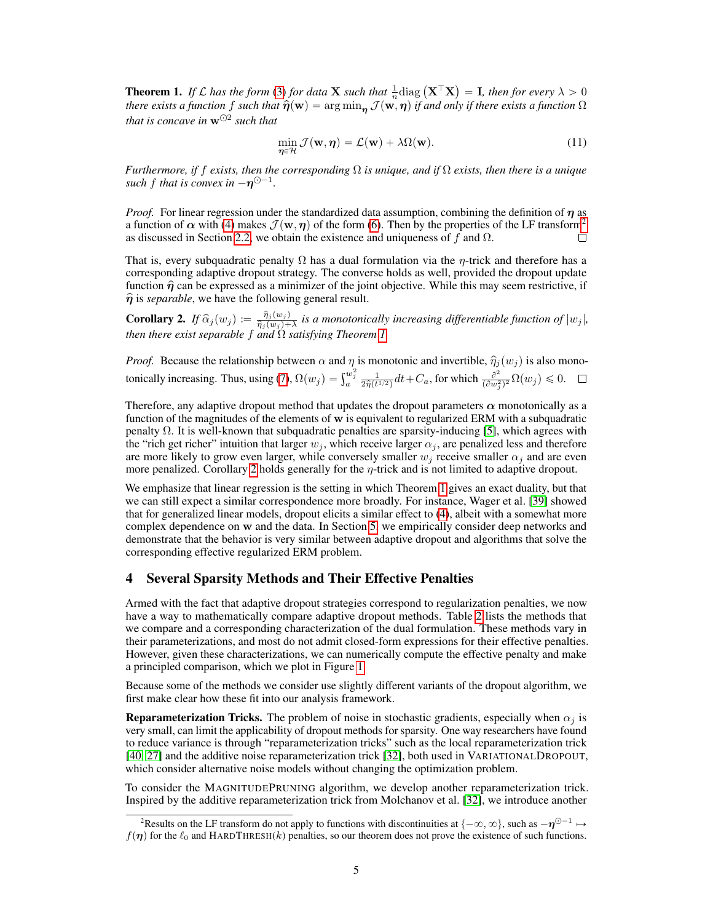<span id="page-4-0"></span>**Theorem 1.** If L has the form [\(3\)](#page-2-2) for data **X** such that  $\frac{1}{n}$  diag  $(X^{\top}X)$  $=$  **I**, then for every  $\lambda > 0$ *there exists a function f such that*  $\hat{\eta}(\mathbf{w}) = \arg \min_{\mathbf{n}} \mathcal{J}(\mathbf{w}, \eta)$  *if and only if there exists a function*  $\Omega$ that is concave in  $w^{\odot 2}$  such that

$$
\min_{\eta \in \mathcal{H}} \mathcal{J}(\mathbf{w}, \eta) = \mathcal{L}(\mathbf{w}) + \lambda \Omega(\mathbf{w}). \tag{11}
$$

*Furthermore, if* f *exists, then the corresponding* Ω *is unique, and if* Ω *exists, then there is a unique* such  $f$  that is convex in  $-\eta^{\odot -1}$ .

*Proof.* For linear regression under the standardized data assumption, combining the definition of  $\eta$  as a function of  $\alpha$  with [\(4\)](#page-2-3) makes  $\mathcal{J}(\mathbf{w}, \eta)$  of the form [\(6\)](#page-2-0). Then by the properties of the LF transform<sup>[2](#page-0-1)</sup> as discussed in Section [2.2,](#page-2-4) we obtain the existence and uniqueness of f and  $\Omega$ . П

That is, every subquadratic penalty  $\Omega$  has a dual formulation via the  $\eta$ -trick and therefore has a corresponding adaptive dropout strategy. The converse holds as well, provided the dropout update function  $\hat{\eta}$  can be expressed as a minimizer of the joint objective. While this may seem restrictive, if  $\hat{\eta}$  is *separable*, we have the following general result.

<span id="page-4-1"></span>**Corollary 2.** *If*  $\widehat{\alpha}_j(w_j) := \frac{\widehat{\eta}_j(w_j)}{\widehat{\eta}_j(w_j)+1}$  $\frac{\eta_j(w_j)}{\hat{\eta}_j(w_j)+\lambda}$  is a monotonically increasing differentiable function of  $|w_j|$ , *then there exist separable* f *and* Ω *satisfying Theorem [1.](#page-4-0)*

*Proof.* Because the relationship between  $\alpha$  and  $\eta$  is monotonic and invertible,  $\hat{\eta}_j(w_j)$  is also mono-tonically increasing. Thus, using [\(7\)](#page-3-1),  $\Omega(w_j) = \int_a^{w_j^2} \frac{1}{2\hat{\eta}(t^{1/2})} dt + C_a$ , for which  $\frac{\partial^2}{(\partial w_j^2)}$  $\frac{\partial^2}{(\partial w_j^2)^2} \Omega(w_j) \leqslant 0.$ 

Therefore, any adaptive dropout method that updates the dropout parameters  $\alpha$  monotonically as a function of the magnitudes of the elements of  $w$  is equivalent to regularized ERM with a subquadratic penalty  $Ω$ . It is well-known that subquadratic penalties are sparsity-inducing [\[5\]](#page-9-1), which agrees with the "rich get richer" intuition that larger  $w_j$ , which receive larger  $\alpha_j$ , are penalized less and therefore are more likely to grow even larger, while conversely smaller  $w_j$  receive smaller  $\alpha_j$  and are even more penalized. Corollary [2](#page-4-1) holds generally for the  $\eta$ -trick and is not limited to adaptive dropout.

We emphasize that linear regression is the setting in which Theorem [1](#page-4-0) gives an exact duality, but that we can still expect a similar correspondence more broadly. For instance, Wager et al. [\[39\]](#page-11-5) showed that for generalized linear models, dropout elicits a similar effect to [\(4\)](#page-2-3), albeit with a somewhat more complex dependence on w and the data. In Section [5,](#page-7-1) we empirically consider deep networks and demonstrate that the behavior is very similar between adaptive dropout and algorithms that solve the corresponding effective regularized ERM problem.

## <span id="page-4-2"></span>4 Several Sparsity Methods and Their Effective Penalties

Armed with the fact that adaptive dropout strategies correspond to regularization penalties, we now have a way to mathematically compare adaptive dropout methods. Table [2](#page-5-0) lists the methods that we compare and a corresponding characterization of the dual formulation. These methods vary in their parameterizations, and most do not admit closed-form expressions for their effective penalties. However, given these characterizations, we can numerically compute the effective penalty and make a principled comparison, which we plot in Figure [1.](#page-1-0)

Because some of the methods we consider use slightly different variants of the dropout algorithm, we first make clear how these fit into our analysis framework.

**Reparameterization Tricks.** The problem of noise in stochastic gradients, especially when  $\alpha_i$  is very small, can limit the applicability of dropout methods for sparsity. One way researchers have found to reduce variance is through "reparameterization tricks" such as the local reparameterization trick [\[40,](#page-11-4) [27\]](#page-10-1) and the additive noise reparameterization trick [\[32\]](#page-11-0), both used in VARIATIONALDROPOUT, which consider alternative noise models without changing the optimization problem.

To consider the MAGNITUDEPRUNING algorithm, we develop another reparameterization trick. Inspired by the additive reparameterization trick from Molchanov et al. [\[32\]](#page-11-0), we introduce another

<sup>&</sup>lt;sup>2</sup>Results on the LF transform do not apply to functions with discontinuities at  $\{-\infty,\infty\}$ , such as  $-\eta^{\odot -1} \mapsto$  $f(\eta)$  for the  $\ell_0$  and HARDTHRESH(k) penalties, so our theorem does not prove the existence of such functions.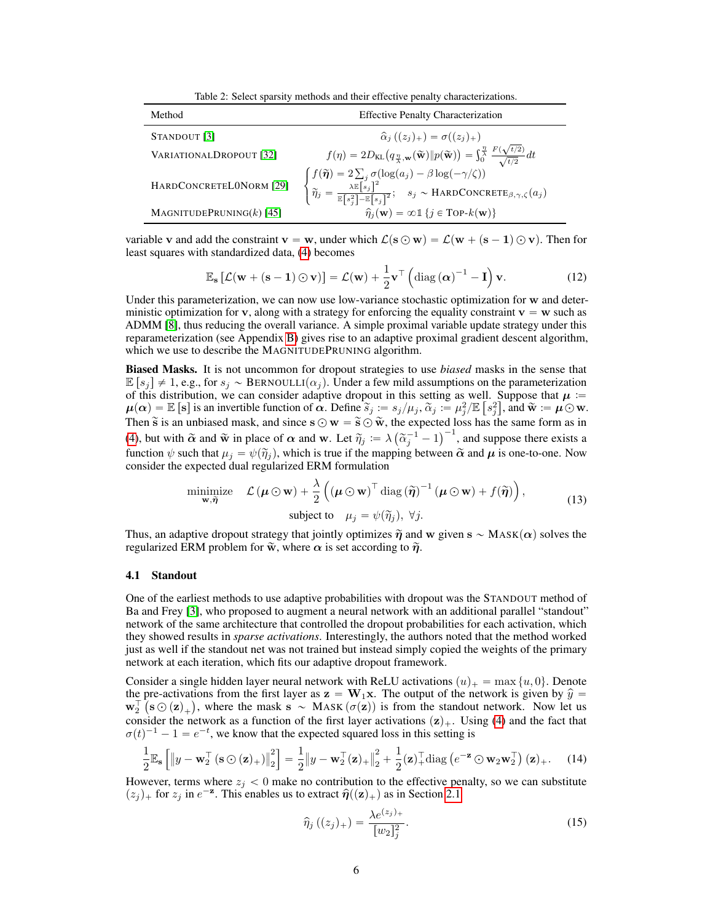Table 2: Select sparsity methods and their effective penalty characterizations.

<span id="page-5-0"></span>

| Method                      | <b>Effective Penalty Characterization</b>                                                                                                                                                                                                                                                                                                                                                                                                                                                                   |  |
|-----------------------------|-------------------------------------------------------------------------------------------------------------------------------------------------------------------------------------------------------------------------------------------------------------------------------------------------------------------------------------------------------------------------------------------------------------------------------------------------------------------------------------------------------------|--|
| STANDOUT [3]                | $\hat{\alpha}_i ((z_i)_+) = \sigma((z_i)_+)$                                                                                                                                                                                                                                                                                                                                                                                                                                                                |  |
| VARIATIONALDROPOUT [32]     |                                                                                                                                                                                                                                                                                                                                                                                                                                                                                                             |  |
| HARDCONCRETELONORM [29]     | $\begin{array}{c} f(\eta)=2D_{\text{KL}}\big(q_{\frac{\eta}{\lambda},\mathbf{w}}(\widetilde{\mathbf{w}})\ p(\widetilde{\mathbf{w}})\big)=\int_{\widetilde{\Omega}}^{\frac{\eta}{\lambda}}\frac{F(\sqrt{t/2})}{\sqrt{t/2}}dt\\ \left\{\begin{aligned} &f(\widetilde{\boldsymbol{\eta}})=2\sum_{j}\sigma(\log(a_j)-\beta\log(-\gamma/\zeta))\\ &\widetilde{\eta}_{j}=\frac{\lambda\mathbb{E}\left[s_{j}\right]^{2}}{\mathbb{E}\left[s_{j}^{2}\right]-\mathbb{E}\left[s_{j}\right]^{2}};\quad s_{j}\sim\text{$ |  |
| MAGNITUDEPRUNING $(k)$ [45] | $\hat{\eta}_i(\mathbf{w}) = \infty \mathbb{1} \{j \in \text{Top-}k(\mathbf{w})\}\$                                                                                                                                                                                                                                                                                                                                                                                                                          |  |

variable v and add the constraint  $\mathbf{v} = \mathbf{w}$ , under which  $\mathcal{L}(\mathbf{s} \odot \mathbf{w}) = \mathcal{L}(\mathbf{w} + (\mathbf{s} - \mathbf{1}) \odot \mathbf{v})$ . Then for least squares with standardized data, [\(4\)](#page-2-3) becomes

$$
\mathbb{E}_{\mathbf{s}}\left[\mathcal{L}(\mathbf{w} + (\mathbf{s} - \mathbf{1}) \odot \mathbf{v})\right] = \mathcal{L}(\mathbf{w}) + \frac{1}{2}\mathbf{v}^{\top} \left(\text{diag}\left(\boldsymbol{\alpha}\right)^{-1} - \mathbf{I}\right)\mathbf{v}.
$$
 (12)

Under this parameterization, we can now use low-variance stochastic optimization for w and deterministic optimization for v, along with a strategy for enforcing the equality constraint  $v = w$  such as ADMM [\[8\]](#page-9-8), thus reducing the overall variance. A simple proximal variable update strategy under this reparameterization (see Appendix [B\)](#page--1-2) gives rise to an adaptive proximal gradient descent algorithm, which we use to describe the MAGNITUDEPRUNING algorithm.

Biased Masks. It is not uncommon for dropout strategies to use *biased* masks in the sense that  $\mathbb{E}[s_i] \neq 1$ , e.g., for  $s_i \sim \text{BERNOLLI}(\alpha_i)$ . Under a few mild assumptions on the parameterization of this distribution, we can consider adaptive dropout in this setting as well. Suppose that  $\mu$  :=  $\mu(\alpha) = \mathbb{E} [\mathbf{s}]$  is an invertible function of  $\alpha$ . Define  $\widetilde{s}_j := s_j/\mu_j$ ,  $\widetilde{\alpha}_j := \mu_j^2/\mathbb{E} [s_j^2]$ , and  $\widetilde{\mathbf{w}} := \mu \odot \mathbf{w}$ . Then  $\tilde{s}$  is an unbiased mask, and since  $s \odot w = \tilde{s} \odot \tilde{w}$ , the expected loss has the same form as in [\(4\)](#page-2-3), but with  $\tilde{\alpha}$  and  $\tilde{\mathbf{w}}$  in place of  $\alpha$  and w. Let  $\tilde{\eta}_j := \lambda \left( \tilde{\alpha}_j^{-1} - 1 \right)$ ed loss has the same form as in<br> $\int^{-1}$ , and suppose there exists a function  $\psi$  such that  $\mu_j = \psi(\tilde{\eta}_j)$ , which is true if the mapping between  $\tilde{\alpha}$  and  $\mu$  is one-to-one. Now consider the expected dual regularized ERM formulation

$$
\underset{\mathbf{w}, \tilde{\boldsymbol{\eta}}}{\text{minimize}} \quad \mathcal{L} \left( \boldsymbol{\mu} \odot \mathbf{w} \right) + \frac{\lambda}{2} \left( \left( \boldsymbol{\mu} \odot \mathbf{w} \right)^{\top} \text{diag} \left( \tilde{\boldsymbol{\eta}} \right)^{-1} \left( \boldsymbol{\mu} \odot \mathbf{w} \right) + f(\tilde{\boldsymbol{\eta}}) \right),
$$
\n
$$
\text{subject to} \quad \mu_j = \psi(\tilde{\eta}_j), \ \forall j.
$$
\n
$$
(13)
$$

Thus, an adaptive dropout strategy that jointly optimizes  $\tilde{\eta}$  and w given  $s \sim \text{MASK}(\alpha)$  solves the regularized ERM problem for  $\tilde{w}$ , where  $\alpha$  is set according to  $\tilde{\eta}$ .

#### 4.1 Standout

One of the earliest methods to use adaptive probabilities with dropout was the STANDOUT method of Ba and Frey [\[3\]](#page-9-5), who proposed to augment a neural network with an additional parallel "standout" network of the same architecture that controlled the dropout probabilities for each activation, which they showed results in *sparse activations*. Interestingly, the authors noted that the method worked just as well if the standout net was not trained but instead simply copied the weights of the primary network at each iteration, which fits our adaptive dropout framework.

Consider a single hidden layer neural network with ReLU activations  $(u)_+ = \max\{u, 0\}$ . Denote the pre-activations from the first layer as  $z = W_1x$ . The output of the network is given by  $\hat{y} =$  $\mathbf{w}_2^{\top}(\mathbf{s} \odot (\mathbf{z})_+)$ , where the mask  $\mathbf{s} \sim \text{MASK}(\sigma(\mathbf{z}))$  is from the standout network. Now let us consider the network as a function of the first layer activations  $(z)_+$ . Using [\(4\)](#page-2-3) and the fact that  $\sigma(t)^{-1} - 1 = e^{-t}$ , we know that the expected squared loss in this setting is

$$
\frac{1}{2}\mathbb{E}_{\mathbf{s}}\left[\left\|y-\mathbf{w}_2^{\top}\left(\mathbf{s}\odot(\mathbf{z})_+\right)\right\|_2^2\right] = \frac{1}{2}\left\|y-\mathbf{w}_2^{\top}(\mathbf{z})_+\right\|_2^2 + \frac{1}{2}(\mathbf{z})_+^{\top}\mathrm{diag}\left(e^{-\mathbf{z}}\odot\mathbf{w}_2\mathbf{w}_2^{\top}\right)(\mathbf{z})_+\right.\tag{14}
$$

However, terms where  $z_i < 0$  make no contribution to the effective penalty, so we can substitute  $(z_j)_+$  for  $z_j$  in  $e^{-\mathbf{z}}$ . This enables us to extract  $\hat{\eta}((\mathbf{z})_+)$  as in Section [2.1](#page-2-5)

<span id="page-5-1"></span>
$$
\widehat{\eta}_j\left((z_j)_+\right) = \frac{\lambda e^{(z_j)_+}}{[w_2]_j^2}.\tag{15}
$$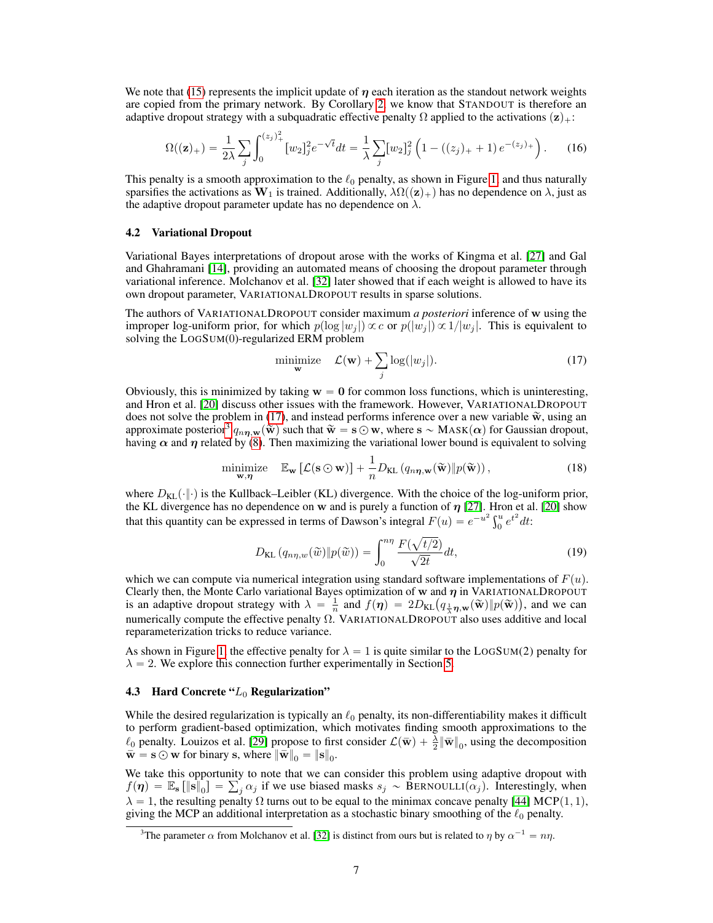We note that [\(15\)](#page-5-1) represents the implicit update of  $\eta$  each iteration as the standout network weights are copied from the primary network. By Corollary [2,](#page-4-1) we know that STANDOUT is therefore an adaptive dropout strategy with a subquadratic effective penalty  $\Omega$  applied to the activations  $(z)_+$ :

$$
\Omega((\mathbf{z})_+) = \frac{1}{2\lambda} \sum_{j} \int_0^{(z_j)_+^2} [w_2]_j^2 e^{-\sqrt{t}} dt = \frac{1}{\lambda} \sum_{j} [w_2]_j^2 \left(1 - ((z_j)_+ + 1) e^{-(z_j)_+}\right). \tag{16}
$$

This penalty is a smooth approximation to the  $\ell_0$  penalty, as shown in Figure [1,](#page-1-0) and thus naturally sparsifies the activations as  $W_1$  is trained. Additionally,  $\lambda \Omega((z)_+)$  has no dependence on  $\lambda$ , just as the adaptive dropout parameter update has no dependence on  $\lambda$ .

#### 4.2 Variational Dropout

Variational Bayes interpretations of dropout arose with the works of Kingma et al. [\[27\]](#page-10-1) and Gal and Ghahramani [\[14\]](#page-10-4), providing an automated means of choosing the dropout parameter through variational inference. Molchanov et al. [\[32\]](#page-11-0) later showed that if each weight is allowed to have its own dropout parameter, VARIATIONALDROPOUT results in sparse solutions.

The authors of VARIATIONALDROPOUT consider maximum *a posteriori* inference of w using the improper log-uniform prior, for which  $p(\log |w_i|) \propto c$  or  $p(|w_i|) \propto 1/|w_i|$ . This is equivalent to solving the LOGSUM(0)-regularized ERM problem

<span id="page-6-0"></span>
$$
\underset{\mathbf{w}}{\text{minimize}} \quad \mathcal{L}(\mathbf{w}) + \sum_{j} \log(|w_j|). \tag{17}
$$

Obviously, this is minimized by taking  $w = 0$  for common loss functions, which is uninteresting, and Hron et al. [\[20\]](#page-10-5) discuss other issues with the framework. However, VARIATIONALDROPOUT does not solve the problem in [\(17\)](#page-6-0), and instead performs inference over a new variable  $\tilde{w}$ , using an approximate posterior<sup>[3](#page-0-1)</sup>  $q_{n\eta,\mathbf{w}}(\tilde{\mathbf{w}})$  such that  $\tilde{\mathbf{w}} = \mathbf{s} \odot \mathbf{w}$ , where  $\mathbf{s} \sim \text{MASK}(\alpha)$  for Gaussian dropout, having  $\alpha$  and  $\eta$  related by [\(8\)](#page-3-2). Then maximizing the variational lower bound is equivalent to solving

$$
\underset{\mathbf{w}, \boldsymbol{\eta}}{\text{minimize}} \quad \mathbb{E}_{\mathbf{w}} \left[ \mathcal{L}(\mathbf{s} \odot \mathbf{w}) \right] + \frac{1}{n} D_{\text{KL}} \left( q_{n\boldsymbol{\eta}, \mathbf{w}}(\widetilde{\mathbf{w}}) \| p(\widetilde{\mathbf{w}}) \right), \tag{18}
$$

where  $D_{KL}(\cdot|\cdot)$  is the Kullback–Leibler (KL) divergence. With the choice of the log-uniform prior, the KL divergence has no dependence on w and is purely a function of  $\eta$  [\[27\]](#page-10-1). Hron et al. [\[20\]](#page-10-5) show that this quantity can be expressed in terms of Dawson's integral  $F(u) = e^{-u^2} \int_0^u e^{t^2} dt$ : a

$$
D_{\text{KL}}(q_{n\eta,w}(\tilde{w}) \| p(\tilde{w})) = \int_0^{n\eta} \frac{F(\sqrt{t/2})}{\sqrt{2t}} dt,
$$
\n(19)

which we can compute via numerical integration using standard software implementations of  $F(u)$ . Clearly then, the Monte Carlo variational Bayes optimization of  $w$  and  $\eta$  in VARIATIONALDROPOUT Clearly then, the Monte Carlo variational Bayes optimization of **w** and  $\eta$  in VARIATIONALDROPOUT is an adaptive dropout strategy with  $\lambda = \frac{1}{n}$  and  $f(\eta) = 2D_{KL}(q_{\frac{1}{\lambda}\eta,\mathbf{w}}(\tilde{\mathbf{w}})||p(\tilde{\mathbf{w}}))$ , and we can numerically compute the effective penalty  $\Omega$ . VARIATIONALDROPOUT also uses additive and local reparameterization tricks to reduce variance.

As shown in Figure [1,](#page-1-0) the effective penalty for  $\lambda = 1$  is quite similar to the LOGSUM(2) penalty for  $\lambda = 2$ . We explore this connection further experimentally in Section [5.](#page-7-1)

#### 4.3 Hard Concrete " $L_0$  Regularization"

While the desired regularization is typically an  $\ell_0$  penalty, its non-differentiability makes it difficult to perform gradient-based optimization, which motivates finding smooth approximations to the  $\ell_0$  penalty. Louizos et al. [\[29\]](#page-10-2) propose to first consider  $\mathcal{L}(\overline{\mathbf{w}}) + \frac{\overline{\lambda}}{2} {\|\overline{\mathbf{w}}\|_0}$ , using the decomposition  $\vec{w} = \vec{s} \odot \vec{w}$  for binary s, where  $\|\vec{w}\|_0 = \|\vec{s}\|_0$ .

We take this opportunity to note that we can consider this problem using adaptive dropout with We take this opportunity to note that we can consider this problem using adaptive dropout with  $f(\eta) = \mathbb{E}_s [\|\mathbf{s}\|_0] = \sum_j \alpha_j$  if we use biased masks  $s_j \sim \text{BERNOULLI}(\alpha_j)$ . Interestingly, when  $\lambda = 1$ , the resulting penalty  $\Omega$  turns out to be equal to the minimax concave penalty [\[44\]](#page-11-2) MCP(1, 1), giving the MCP an additional interpretation as a stochastic binary smoothing of the  $\ell_0$  penalty.

<sup>&</sup>lt;sup>3</sup>The parameter  $\alpha$  from Molchanov et al. [\[32\]](#page-11-0) is distinct from ours but is related to  $\eta$  by  $\alpha^{-1} = n\eta$ .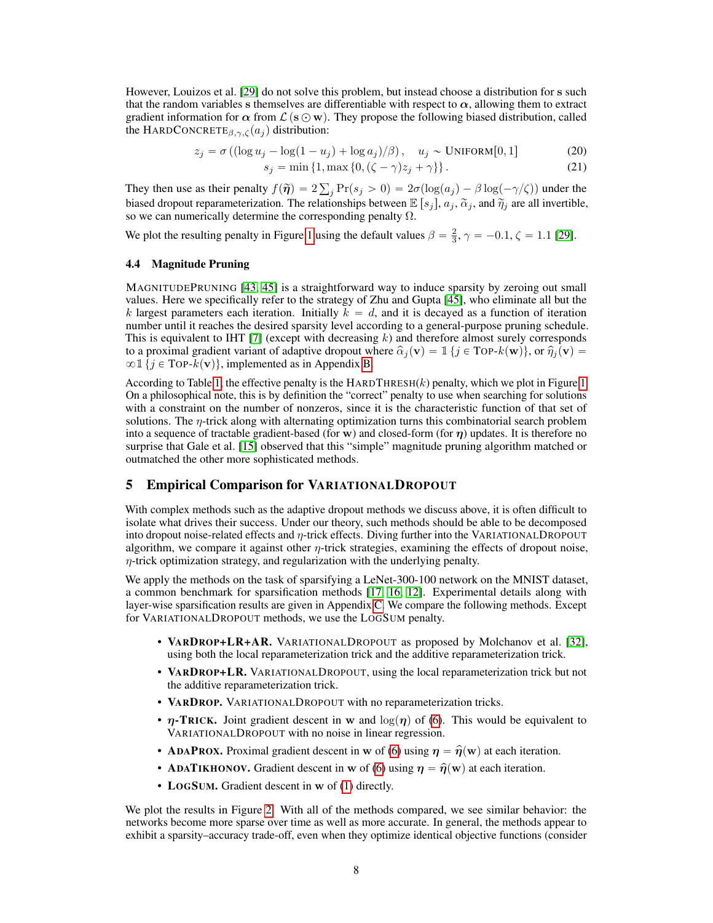However, Louizos et al. [\[29\]](#page-10-2) do not solve this problem, but instead choose a distribution for s such that the random variables s themselves are differentiable with respect to  $\alpha$ , allowing them to extract gradient information for  $\alpha$  from  $\mathcal{L}(\mathbf{s} \odot \mathbf{w})$ . They propose the following biased distribution, called the HARDCONCRETE<sub> $\beta, \gamma, \zeta(a_j)$ </sub> distribution:

$$
z_j = \sigma \left( (\log u_j - \log(1 - u_j) + \log a_j) / \beta \right), \quad u_j \sim \text{UNIFORM}[0, 1] \tag{20}
$$

$$
s_j = \min \{ 1, \max \{ 0, (\zeta - \gamma)z_j + \gamma \} \}. \tag{21}
$$

They then use as their penalty  $f(\tilde{\boldsymbol{\eta}}) = 2 \sum$  $j \Pr(s_j > 0) = 2\sigma(\log(a_j) - \beta \log(-\gamma/\zeta))$  under the biased dropout reparameterization. The relationships between  $\mathbb{E}[s_j]$ ,  $a_j$ ,  $\tilde{\alpha}_j$ , and  $\tilde{\eta}_j$  are all invertible, so we can numerically determine the corresponding penalty  $\Omega$ .

We plot the resulting penalty in Figure [1](#page-1-0) using the default values  $\beta = \frac{2}{3}$ ,  $\gamma = -0.1$ ,  $\zeta = 1.1$  [\[29\]](#page-10-2).

#### <span id="page-7-0"></span>4.4 Magnitude Pruning

MAGNITUDEPRUNING [\[43,](#page-11-8) [45\]](#page-11-1) is a straightforward way to induce sparsity by zeroing out small values. Here we specifically refer to the strategy of Zhu and Gupta [\[45\]](#page-11-1), who eliminate all but the k largest parameters each iteration. Initially  $k = d$ , and it is decayed as a function of iteration number until it reaches the desired sparsity level according to a general-purpose pruning schedule. This is equivalent to IHT [\[7\]](#page-9-7) (except with decreasing  $k$ ) and therefore almost surely corresponds to a proximal gradient variant of adaptive dropout where  $\hat{\alpha}_j(\mathbf{v}) = \mathbb{1} \{j \in \text{Top-}k(\mathbf{w})\}$ , or  $\hat{\eta}_j(\mathbf{v}) = \mathbb{1}$  $\infty$  1 { $j \in \text{Top-}k(v)$ }, implemented as in Appendix [B.](#page--1-2)

According to Table [1,](#page-3-0) the effective penalty is the  $HARDTHRESH(k)$  penalty, which we plot in Figure [1.](#page-1-0) On a philosophical note, this is by definition the "correct" penalty to use when searching for solutions with a constraint on the number of nonzeros, since it is the characteristic function of that set of solutions. The  $\eta$ -trick along with alternating optimization turns this combinatorial search problem into a sequence of tractable gradient-based (for w) and closed-form (for  $\eta$ ) updates. It is therefore no surprise that Gale et al. [\[15\]](#page-10-3) observed that this "simple" magnitude pruning algorithm matched or outmatched the other more sophisticated methods.

#### <span id="page-7-1"></span>5 Empirical Comparison for VARIATIONALDROPOUT

With complex methods such as the adaptive dropout methods we discuss above, it is often difficult to isolate what drives their success. Under our theory, such methods should be able to be decomposed into dropout noise-related effects and η-trick effects. Diving further into the VARIATIONALDROPOUT algorithm, we compare it against other  $\eta$ -trick strategies, examining the effects of dropout noise,  $\eta$ -trick optimization strategy, and regularization with the underlying penalty.

We apply the methods on the task of sparsifying a LeNet-300-100 network on the MNIST dataset, a common benchmark for sparsification methods [\[17,](#page-10-6) [16,](#page-10-7) [12\]](#page-10-8). Experimental details along with layer-wise sparsification results are given in Appendix [C.](#page--1-3) We compare the following methods. Except for VARIATIONALDROPOUT methods, we use the LOGSUM penalty.

- VARDROP+LR+AR. VARIATIONALDROPOUT as proposed by Molchanov et al. [\[32\]](#page-11-0), using both the local reparameterization trick and the additive reparameterization trick.
- VARDROP+LR. VARIATIONALDROPOUT, using the local reparameterization trick but not the additive reparameterization trick.
- VARDROP. VARIATIONALDROPOUT with no reparameterization tricks.
- $\eta$ -TRICK. Joint gradient descent in w and  $\log(\eta)$  of [\(6\)](#page-2-0). This would be equivalent to VARIATIONALDROPOUT with no noise in linear regression.
- ADAPROX. Proximal gradient descent in w of [\(6\)](#page-2-0) using  $\eta = \hat{\eta}(w)$  at each iteration.
- ADATIKHONOV. Gradient descent in w of [\(6\)](#page-2-0) using  $\eta = \hat{\eta}(w)$  at each iteration.
- LOGSUM. Gradient descent in w of [\(1\)](#page-0-0) directly.

We plot the results in Figure [2.](#page-8-0) With all of the methods compared, we see similar behavior: the networks become more sparse over time as well as more accurate. In general, the methods appear to exhibit a sparsity–accuracy trade-off, even when they optimize identical objective functions (consider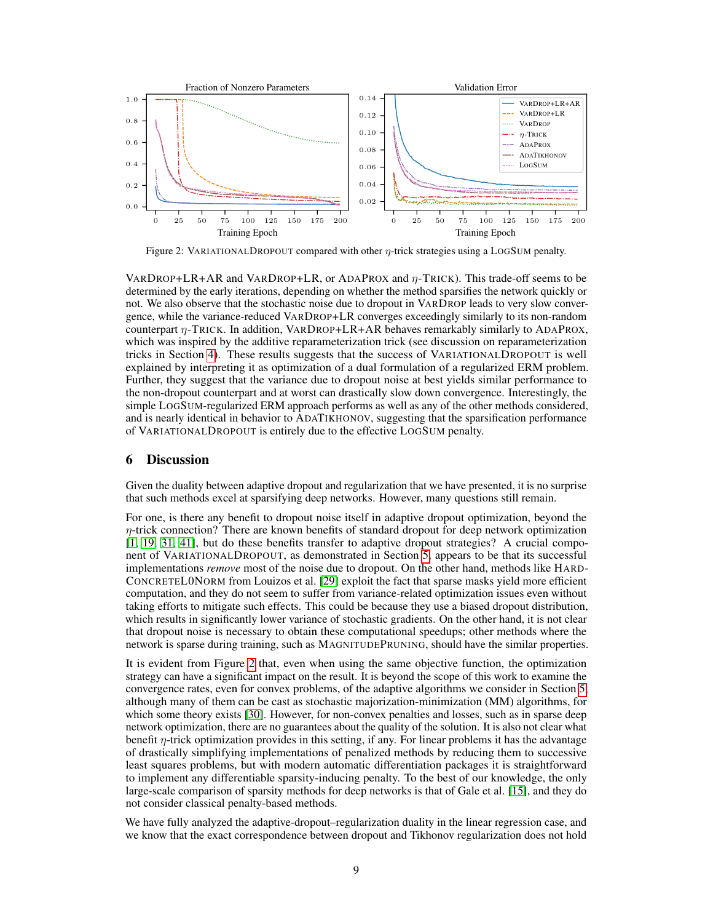<span id="page-8-0"></span>

Figure 2: VARIATIONALDROPOUT compared with other  $\eta$ -trick strategies using a LOGSUM penalty.

VARDROP+LR+AR and VARDROP+LR, or ADAPROX and  $\eta$ -TRICK). This trade-off seems to be determined by the early iterations, depending on whether the method sparsifies the network quickly or not. We also observe that the stochastic noise due to dropout in VARDROP leads to very slow convergence, while the variance-reduced VARDROP+LR converges exceedingly similarly to its non-random counterpart η-TRICK. In addition, VARDROP+LR+AR behaves remarkably similarly to ADAPROX, which was inspired by the additive reparameterization trick (see discussion on reparameterization tricks in Section [4\)](#page-4-2). These results suggests that the success of VARIATIONALDROPOUT is well explained by interpreting it as optimization of a dual formulation of a regularized ERM problem. Further, they suggest that the variance due to dropout noise at best yields similar performance to the non-dropout counterpart and at worst can drastically slow down convergence. Interestingly, the simple LOGSUM-regularized ERM approach performs as well as any of the other methods considered, and is nearly identical in behavior to ADATIKHONOV, suggesting that the sparsification performance of VARIATIONALDROPOUT is entirely due to the effective LOGSUM penalty.

#### 6 Discussion

Given the duality between adaptive dropout and regularization that we have presented, it is no surprise that such methods excel at sparsifying deep networks. However, many questions still remain.

For one, is there any benefit to dropout noise itself in adaptive dropout optimization, beyond the  $\eta$ -trick connection? There are known benefits of standard dropout for deep network optimization [\[1,](#page-9-9) [19,](#page-10-9) [31,](#page-10-10) [41\]](#page-11-9), but do these benefits transfer to adaptive dropout strategies? A crucial component of VARIATIONALDROPOUT, as demonstrated in Section [5,](#page-7-1) appears to be that its successful implementations *remove* most of the noise due to dropout. On the other hand, methods like HARD-CONCRETEL0NORM from Louizos et al. [\[29\]](#page-10-2) exploit the fact that sparse masks yield more efficient computation, and they do not seem to suffer from variance-related optimization issues even without taking efforts to mitigate such effects. This could be because they use a biased dropout distribution, which results in significantly lower variance of stochastic gradients. On the other hand, it is not clear that dropout noise is necessary to obtain these computational speedups; other methods where the network is sparse during training, such as MAGNITUDEPRUNING, should have the similar properties.

It is evident from Figure [2](#page-8-0) that, even when using the same objective function, the optimization strategy can have a significant impact on the result. It is beyond the scope of this work to examine the convergence rates, even for convex problems, of the adaptive algorithms we consider in Section [5,](#page-7-1) although many of them can be cast as stochastic majorization-minimization (MM) algorithms, for which some theory exists [\[30\]](#page-10-11). However, for non-convex penalties and losses, such as in sparse deep network optimization, there are no guarantees about the quality of the solution. It is also not clear what benefit  $\eta$ -trick optimization provides in this setting, if any. For linear problems it has the advantage of drastically simplifying implementations of penalized methods by reducing them to successive least squares problems, but with modern automatic differentiation packages it is straightforward to implement any differentiable sparsity-inducing penalty. To the best of our knowledge, the only large-scale comparison of sparsity methods for deep networks is that of Gale et al. [\[15\]](#page-10-3), and they do not consider classical penalty-based methods.

We have fully analyzed the adaptive-dropout–regularization duality in the linear regression case, and we know that the exact correspondence between dropout and Tikhonov regularization does not hold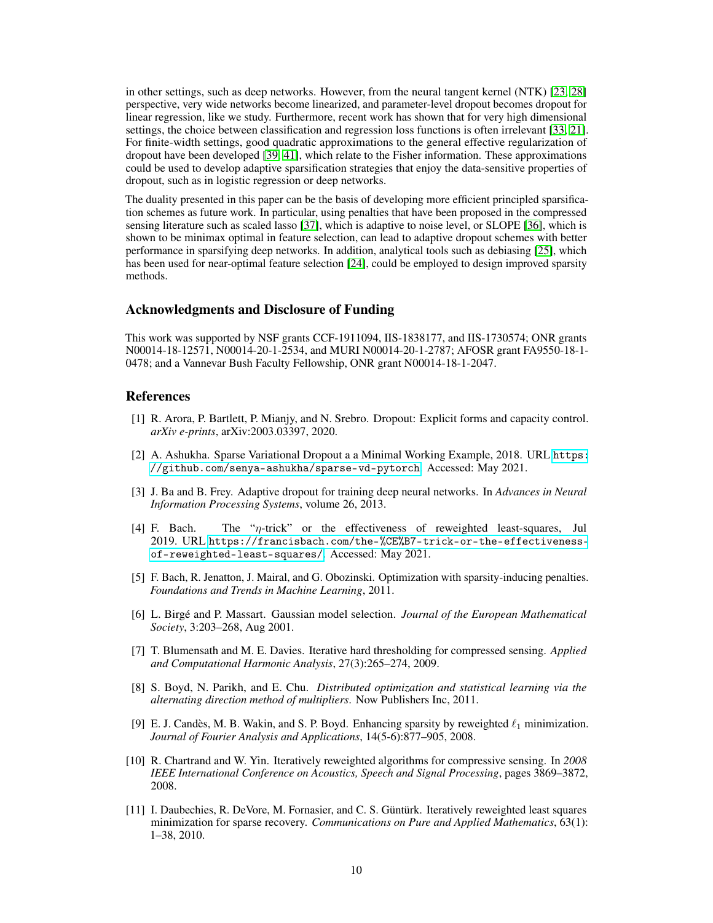in other settings, such as deep networks. However, from the neural tangent kernel (NTK) [\[23,](#page-10-12) [28\]](#page-10-13) perspective, very wide networks become linearized, and parameter-level dropout becomes dropout for linear regression, like we study. Furthermore, recent work has shown that for very high dimensional settings, the choice between classification and regression loss functions is often irrelevant [\[33,](#page-11-10) [21\]](#page-10-14). For finite-width settings, good quadratic approximations to the general effective regularization of dropout have been developed [\[39,](#page-11-5) [41\]](#page-11-9), which relate to the Fisher information. These approximations could be used to develop adaptive sparsification strategies that enjoy the data-sensitive properties of dropout, such as in logistic regression or deep networks.

The duality presented in this paper can be the basis of developing more efficient principled sparsification schemes as future work. In particular, using penalties that have been proposed in the compressed sensing literature such as scaled lasso [\[37\]](#page-11-11), which is adaptive to noise level, or SLOPE [\[36\]](#page-11-12), which is shown to be minimax optimal in feature selection, can lead to adaptive dropout schemes with better performance in sparsifying deep networks. In addition, analytical tools such as debiasing [\[25\]](#page-10-15), which has been used for near-optimal feature selection [\[24\]](#page-10-16), could be employed to design improved sparsity methods.

#### Acknowledgments and Disclosure of Funding

This work was supported by NSF grants CCF-1911094, IIS-1838177, and IIS-1730574; ONR grants N00014-18-12571, N00014-20-1-2534, and MURI N00014-20-1-2787; AFOSR grant FA9550-18-1- 0478; and a Vannevar Bush Faculty Fellowship, ONR grant N00014-18-1-2047.

## References

- <span id="page-9-9"></span>[1] R. Arora, P. Bartlett, P. Mianjy, and N. Srebro. Dropout: Explicit forms and capacity control. *arXiv e-prints*, arXiv:2003.03397, 2020.
- [2] A. Ashukha. Sparse Variational Dropout a a Minimal Working Example, 2018. URL [https:](https://github.com/senya-ashukha/sparse-vd-pytorch) [//github.com/senya-ashukha/sparse-vd-pytorch](https://github.com/senya-ashukha/sparse-vd-pytorch). Accessed: May 2021.
- <span id="page-9-5"></span>[3] J. Ba and B. Frey. Adaptive dropout for training deep neural networks. In *Advances in Neural Information Processing Systems*, volume 26, 2013.
- <span id="page-9-3"></span>[4] F. Bach. The "η-trick" or the effectiveness of reweighted least-squares, Jul 2019. URL [https://francisbach.com/the-%CE%B7-trick-or-the-effectiveness](https://francisbach.com/the-%CE%B7-trick-or-the-effectiveness-of-reweighted-least-squares/)[of-reweighted-least-squares/](https://francisbach.com/the-%CE%B7-trick-or-the-effectiveness-of-reweighted-least-squares/). Accessed: May 2021.
- <span id="page-9-1"></span>[5] F. Bach, R. Jenatton, J. Mairal, and G. Obozinski. Optimization with sparsity-inducing penalties. *Foundations and Trends in Machine Learning*, 2011.
- <span id="page-9-0"></span>[6] L. Birgé and P. Massart. Gaussian model selection. *Journal of the European Mathematical Society*, 3:203–268, Aug 2001.
- <span id="page-9-7"></span>[7] T. Blumensath and M. E. Davies. Iterative hard thresholding for compressed sensing. *Applied and Computational Harmonic Analysis*, 27(3):265–274, 2009.
- <span id="page-9-8"></span>[8] S. Boyd, N. Parikh, and E. Chu. *Distributed optimization and statistical learning via the alternating direction method of multipliers*. Now Publishers Inc, 2011.
- <span id="page-9-2"></span>[9] E. J. Candès, M. B. Wakin, and S. P. Boyd. Enhancing sparsity by reweighted  $\ell_1$  minimization. *Journal of Fourier Analysis and Applications*, 14(5-6):877–905, 2008.
- <span id="page-9-6"></span>[10] R. Chartrand and W. Yin. Iteratively reweighted algorithms for compressive sensing. In *2008 IEEE International Conference on Acoustics, Speech and Signal Processing*, pages 3869–3872, 2008.
- <span id="page-9-4"></span>[11] I. Daubechies, R. DeVore, M. Fornasier, and C. S. Güntürk. Iteratively reweighted least squares minimization for sparse recovery. *Communications on Pure and Applied Mathematics*, 63(1): 1–38, 2010.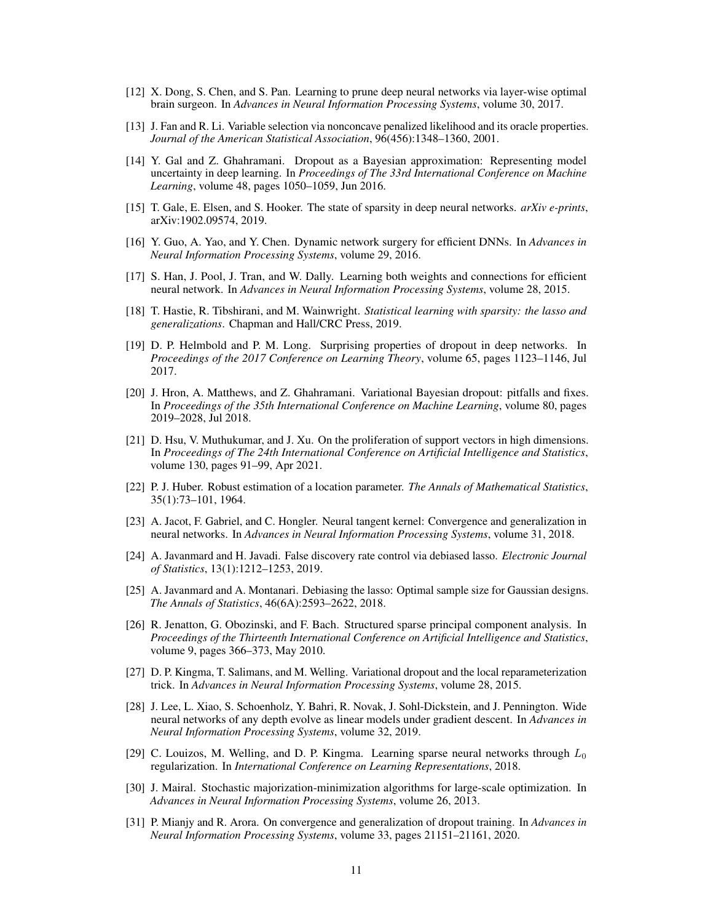- <span id="page-10-8"></span>[12] X. Dong, S. Chen, and S. Pan. Learning to prune deep neural networks via layer-wise optimal brain surgeon. In *Advances in Neural Information Processing Systems*, volume 30, 2017.
- [13] J. Fan and R. Li. Variable selection via nonconcave penalized likelihood and its oracle properties. *Journal of the American Statistical Association*, 96(456):1348–1360, 2001.
- <span id="page-10-4"></span>[14] Y. Gal and Z. Ghahramani. Dropout as a Bayesian approximation: Representing model uncertainty in deep learning. In *Proceedings of The 33rd International Conference on Machine Learning*, volume 48, pages 1050–1059, Jun 2016.
- <span id="page-10-3"></span>[15] T. Gale, E. Elsen, and S. Hooker. The state of sparsity in deep neural networks. *arXiv e-prints*, arXiv:1902.09574, 2019.
- <span id="page-10-7"></span>[16] Y. Guo, A. Yao, and Y. Chen. Dynamic network surgery for efficient DNNs. In *Advances in Neural Information Processing Systems*, volume 29, 2016.
- <span id="page-10-6"></span>[17] S. Han, J. Pool, J. Tran, and W. Dally. Learning both weights and connections for efficient neural network. In *Advances in Neural Information Processing Systems*, volume 28, 2015.
- <span id="page-10-0"></span>[18] T. Hastie, R. Tibshirani, and M. Wainwright. *Statistical learning with sparsity: the lasso and generalizations*. Chapman and Hall/CRC Press, 2019.
- <span id="page-10-9"></span>[19] D. P. Helmbold and P. M. Long. Surprising properties of dropout in deep networks. In *Proceedings of the 2017 Conference on Learning Theory*, volume 65, pages 1123–1146, Jul 2017.
- <span id="page-10-5"></span>[20] J. Hron, A. Matthews, and Z. Ghahramani. Variational Bayesian dropout: pitfalls and fixes. In *Proceedings of the 35th International Conference on Machine Learning*, volume 80, pages 2019–2028, Jul 2018.
- <span id="page-10-14"></span>[21] D. Hsu, V. Muthukumar, and J. Xu. On the proliferation of support vectors in high dimensions. In *Proceedings of The 24th International Conference on Artificial Intelligence and Statistics*, volume 130, pages 91–99, Apr 2021.
- [22] P. J. Huber. Robust estimation of a location parameter. *The Annals of Mathematical Statistics*, 35(1):73–101, 1964.
- <span id="page-10-12"></span>[23] A. Jacot, F. Gabriel, and C. Hongler. Neural tangent kernel: Convergence and generalization in neural networks. In *Advances in Neural Information Processing Systems*, volume 31, 2018.
- <span id="page-10-16"></span>[24] A. Javanmard and H. Javadi. False discovery rate control via debiased lasso. *Electronic Journal of Statistics*, 13(1):1212–1253, 2019.
- <span id="page-10-15"></span>[25] A. Javanmard and A. Montanari. Debiasing the lasso: Optimal sample size for Gaussian designs. *The Annals of Statistics*, 46(6A):2593–2622, 2018.
- [26] R. Jenatton, G. Obozinski, and F. Bach. Structured sparse principal component analysis. In *Proceedings of the Thirteenth International Conference on Artificial Intelligence and Statistics*, volume 9, pages 366–373, May 2010.
- <span id="page-10-1"></span>[27] D. P. Kingma, T. Salimans, and M. Welling. Variational dropout and the local reparameterization trick. In *Advances in Neural Information Processing Systems*, volume 28, 2015.
- <span id="page-10-13"></span>[28] J. Lee, L. Xiao, S. Schoenholz, Y. Bahri, R. Novak, J. Sohl-Dickstein, and J. Pennington. Wide neural networks of any depth evolve as linear models under gradient descent. In *Advances in Neural Information Processing Systems*, volume 32, 2019.
- <span id="page-10-2"></span>[29] C. Louizos, M. Welling, and D. P. Kingma. Learning sparse neural networks through  $L_0$ regularization. In *International Conference on Learning Representations*, 2018.
- <span id="page-10-11"></span>[30] J. Mairal. Stochastic majorization-minimization algorithms for large-scale optimization. In *Advances in Neural Information Processing Systems*, volume 26, 2013.
- <span id="page-10-10"></span>[31] P. Mianjy and R. Arora. On convergence and generalization of dropout training. In *Advances in Neural Information Processing Systems*, volume 33, pages 21151–21161, 2020.